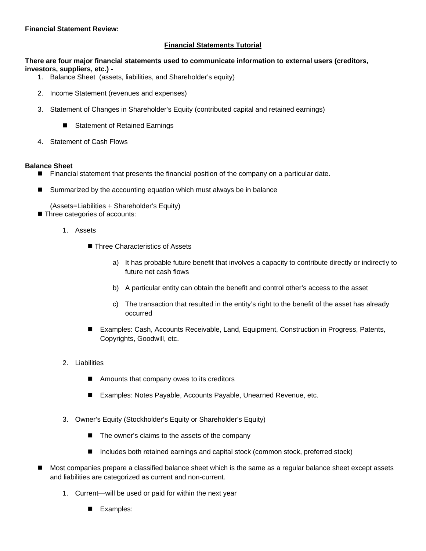#### **Financial Statement Review:**

#### **Financial Statements Tutorial**

**There are four major financial statements used to communicate information to external users (creditors, investors, suppliers, etc.) -**

- 1. Balance Sheet (assets, liabilities, and Shareholder's equity)
- 2. Income Statement (revenues and expenses)
- 3. Statement of Changes in Shareholder's Equity (contributed capital and retained earnings)
	- Statement of Retained Earnings
- 4. Statement of Cash Flows

#### **Balance Sheet**

- **Financial statement that presents the financial position of the company on a particular date.**
- Summarized by the accounting equation which must always be in balance

(Assets=Liabilities + Shareholder's Equity)

- **Three categories of accounts:** 
	- 1. Assets
		- Three Characteristics of Assets
			- a) It has probable future benefit that involves a capacity to contribute directly or indirectly to future net cash flows
			- b) A particular entity can obtain the benefit and control other's access to the asset
			- c) The transaction that resulted in the entity's right to the benefit of the asset has already occurred
		- Examples: Cash, Accounts Receivable, Land, Equipment, Construction in Progress, Patents, Copyrights, Goodwill, etc.
	- 2. Liabilities
		- Amounts that company owes to its creditors
		- Examples: Notes Payable, Accounts Payable, Unearned Revenue, etc.
	- 3. Owner's Equity (Stockholder's Equity or Shareholder's Equity)
		- The owner's claims to the assets of the company
		- Includes both retained earnings and capital stock (common stock, preferred stock)
- Most companies prepare a classified balance sheet which is the same as a regular balance sheet except assets and liabilities are categorized as current and non-current.
	- 1. Current—will be used or paid for within the next year
		- Examples: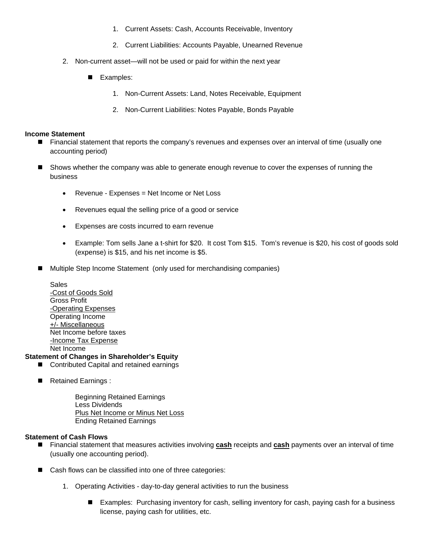- 1. Current Assets: Cash, Accounts Receivable, Inventory
- 2. Current Liabilities: Accounts Payable, Unearned Revenue
- 2. Non-current asset—will not be used or paid for within the next year
	- Examples:
		- 1. Non-Current Assets: Land, Notes Receivable, Equipment
		- 2. Non-Current Liabilities: Notes Payable, Bonds Payable

#### **Income Statement**

- **Financial statement that reports the company's revenues and expenses over an interval of time (usually one** accounting period)
- Shows whether the company was able to generate enough revenue to cover the expenses of running the business
	- Revenue Expenses = Net Income or Net Loss
	- Revenues equal the selling price of a good or service
	- Expenses are costs incurred to earn revenue
	- Example: Tom sells Jane a t-shirt for \$20. It cost Tom \$15. Tom's revenue is \$20, his cost of goods sold (expense) is \$15, and his net income is \$5.
- Multiple Step Income Statement (only used for merchandising companies)

Sales -Cost of Goods Sold Gross Profit -Operating Expenses Operating Income +/- Miscellaneous Net Income before taxes -Income Tax Expense Net Income

#### **Statement of Changes in Shareholder's Equity**

- Contributed Capital and retained earnings
- Retained Earnings :

Beginning Retained Earnings Less Dividends Plus Net Income or Minus Net Loss Ending Retained Earnings

#### **Statement of Cash Flows**

- Financial statement that measures activities involving **cash** receipts and **cash** payments over an interval of time (usually one accounting period).
- Cash flows can be classified into one of three categories:
	- 1. Operating Activities day-to-day general activities to run the business
		- Examples: Purchasing inventory for cash, selling inventory for cash, paying cash for a business license, paying cash for utilities, etc.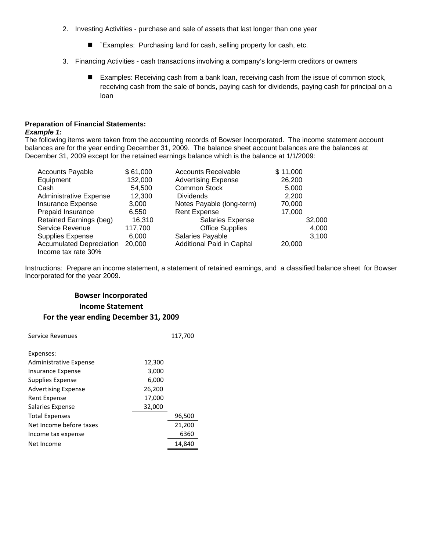- 2. Investing Activities purchase and sale of assets that last longer than one year
	- `Examples: Purchasing land for cash, selling property for cash, etc.
- 3. Financing Activities cash transactions involving a company's long-term creditors or owners
	- Examples: Receiving cash from a bank loan, receiving cash from the issue of common stock, receiving cash from the sale of bonds, paying cash for dividends, paying cash for principal on a loan

## **Preparation of Financial Statements:**

#### *Example 1:*

The following items were taken from the accounting records of Bowser Incorporated. The income statement account balances are for the year ending December 31, 2009. The balance sheet account balances are the balances at December 31, 2009 except for the retained earnings balance which is the balance at 1/1/2009:

| <b>Accounts Payable</b>         | \$61,000 | <b>Accounts Receivable</b>        | \$11,000 |
|---------------------------------|----------|-----------------------------------|----------|
| Equipment                       | 132,000  | <b>Advertising Expense</b>        | 26,200   |
| Cash                            | 54.500   | <b>Common Stock</b>               | 5,000    |
| <b>Administrative Expense</b>   | 12,300   | <b>Dividends</b>                  | 2,200    |
| Insurance Expense               | 3,000    | Notes Payable (long-term)         | 70,000   |
| Prepaid Insurance               | 6,550    | <b>Rent Expense</b>               | 17.000   |
| Retained Earnings (beg)         | 16,310   | Salaries Expense                  | 32,000   |
| Service Revenue                 | 117,700  | <b>Office Supplies</b>            | 4,000    |
| <b>Supplies Expense</b>         | 6,000    | Salaries Payable                  | 3,100    |
| <b>Accumulated Depreciation</b> | 20,000   | <b>Additional Paid in Capital</b> | 20,000   |
| Income tax rate 30%             |          |                                   |          |

Instructions: Prepare an income statement, a statement of retained earnings, and a classified balance sheet for Bowser Incorporated for the year 2009.

## **Bowser Incorporated Income Statement For the year ending December 31, 2009**

| Service Revenues           |        | 117,700 |
|----------------------------|--------|---------|
| Expenses:                  |        |         |
| Administrative Expense     | 12,300 |         |
| Insurance Expense          | 3,000  |         |
| Supplies Expense           | 6,000  |         |
| <b>Advertising Expense</b> | 26,200 |         |
| Rent Expense               | 17,000 |         |
| Salaries Expense           | 32,000 |         |
| <b>Total Expenses</b>      |        | 96,500  |
| Net Income before taxes    |        | 21,200  |
| Income tax expense         |        | 6360    |
| Net Income                 |        | 14,840  |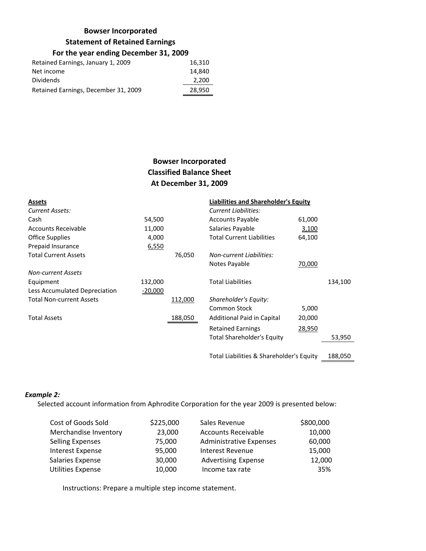### **Bowser Incorporated**

#### **Statement of Retained Earnings**

### **For the year ending December 31, 2009**

| Retained Earnings, January 1, 2009   | 16,310 |
|--------------------------------------|--------|
| Net income                           | 14.840 |
| Dividends                            | 2,200  |
| Retained Earnings, December 31, 2009 | 28,950 |

## **Bowser Incorporated Classified Balance Sheet At December 31, 2009**

| <b>Assets</b>                   |           |         | <b>Liabilities and Shareholder's Equity</b> |        |         |
|---------------------------------|-----------|---------|---------------------------------------------|--------|---------|
| Current Assets:                 |           |         | Current Liabilities:                        |        |         |
| Cash                            | 54,500    |         | <b>Accounts Payable</b>                     | 61,000 |         |
| Accounts Receivable             | 11,000    |         | Salaries Payable                            | 3,100  |         |
| Office Supplies                 | 4,000     |         | <b>Total Current Liabilities</b>            | 64,100 |         |
| Prepaid Insurance               | 6,550     |         |                                             |        |         |
| <b>Total Current Assets</b>     |           | 76,050  | <b>Non-current Liabilities:</b>             |        |         |
|                                 |           |         | Notes Payable                               | 70,000 |         |
| <b>Non-current Assets</b>       |           |         |                                             |        |         |
| Equipment                       | 132,000   |         | <b>Total Liabilities</b>                    |        | 134,100 |
| Less Accumulated Depreciation   | $-20,000$ |         |                                             |        |         |
| <b>Total Non-current Assets</b> |           | 112,000 | Shareholder's Equity:                       |        |         |
|                                 |           |         | Common Stock                                | 5,000  |         |
| <b>Total Assets</b>             |           | 188,050 | <b>Additional Paid in Capital</b>           | 20,000 |         |
|                                 |           |         | <b>Retained Earnings</b>                    | 28,950 |         |
|                                 |           |         | <b>Total Shareholder's Equity</b>           |        | 53,950  |
|                                 |           |         |                                             |        |         |

Total Liabilities & Shareholder's Equity 188,050

#### *Example 2:*

Selected account information from Aphrodite Corporation for the year 2009 is presented below:

| Cost of Goods Sold       | \$225,000 | Sales Revenue                  | \$800,000 |
|--------------------------|-----------|--------------------------------|-----------|
| Merchandise Inventory    | 23,000    | <b>Accounts Receivable</b>     | 10,000    |
| <b>Selling Expenses</b>  | 75,000    | <b>Administrative Expenses</b> | 60,000    |
| Interest Expense         | 95,000    | <b>Interest Revenue</b>        | 15,000    |
| Salaries Expense         | 30,000    | <b>Advertising Expense</b>     | 12,000    |
| <b>Utilities Expense</b> | 10,000    | Income tax rate                | 35%       |

Instructions: Prepare a multiple step income statement.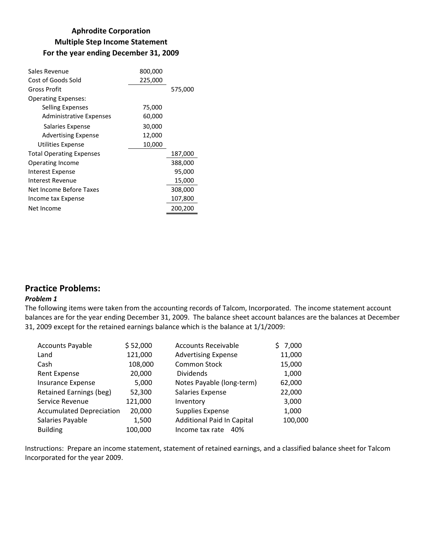## **Aphrodite Corporation Multiple Step Income Statement For the year ending December 31, 2009**

| Sales Revenue                   | 800,000 |         |
|---------------------------------|---------|---------|
| Cost of Goods Sold              | 225,000 |         |
| Gross Profit                    |         | 575,000 |
| <b>Operating Expenses:</b>      |         |         |
| Selling Expenses                | 75,000  |         |
| Administrative Expenses         | 60,000  |         |
| Salaries Expense                | 30,000  |         |
| <b>Advertising Expense</b>      | 12,000  |         |
| Utilities Expense               | 10,000  |         |
| <b>Total Operating Expenses</b> |         | 187,000 |
| Operating Income                |         | 388,000 |
| Interest Expense                |         | 95,000  |
| Interest Revenue                |         | 15,000  |
| Net Income Before Taxes         |         | 308,000 |
| Income tax Expense              |         | 107,800 |
| Net Income                      |         | 200,200 |

## **Practice Problems:**

#### *Problem 1*

The following items were taken from the accounting records of Talcom, Incorporated. The income statement account balances are for the year ending December 31, 2009. The balance sheet account balances are the balances at December 31, 2009 except for the retained earnings balance which is the balance at 1/1/2009:

| <b>Accounts Payable</b>         | \$52,000 | <b>Accounts Receivable</b>        | \$7,000 |
|---------------------------------|----------|-----------------------------------|---------|
| Land                            | 121,000  | <b>Advertising Expense</b>        | 11,000  |
| Cash                            | 108,000  | <b>Common Stock</b>               | 15,000  |
| Rent Expense                    | 20,000   | <b>Dividends</b>                  | 1,000   |
| Insurance Expense               | 5,000    | Notes Payable (long-term)         | 62,000  |
| Retained Earnings (beg)         | 52,300   | Salaries Expense                  | 22,000  |
| Service Revenue                 | 121,000  | Inventory                         | 3,000   |
| <b>Accumulated Depreciation</b> | 20,000   | Supplies Expense                  | 1,000   |
| Salaries Payable                | 1,500    | <b>Additional Paid In Capital</b> | 100,000 |
| <b>Building</b>                 | 100,000  | Income tax rate<br>40%            |         |

Instructions: Prepare an income statement, statement of retained earnings, and a classified balance sheet for Talcom Incorporated for the year 2009.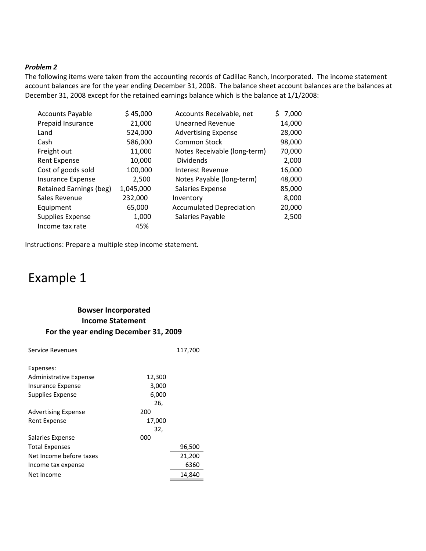#### *Problem 2*

The following items were taken from the accounting records of Cadillac Ranch, Incorporated. The income statement account balances are for the year ending December 31, 2008. The balance sheet account balances are the balances at December 31, 2008 except for the retained earnings balance which is the balance at 1/1/2008:

| <b>Accounts Payable</b> | \$45,000  | Accounts Receivable, net        | \$7,000 |
|-------------------------|-----------|---------------------------------|---------|
| Prepaid Insurance       | 21,000    | <b>Unearned Revenue</b>         | 14,000  |
| Land                    | 524,000   | <b>Advertising Expense</b>      | 28,000  |
| Cash                    | 586,000   | Common Stock                    | 98,000  |
| Freight out             | 11,000    | Notes Receivable (long-term)    | 70,000  |
| Rent Expense            | 10,000    | <b>Dividends</b>                | 2,000   |
| Cost of goods sold      | 100,000   | Interest Revenue                | 16,000  |
| Insurance Expense       | 2,500     | Notes Payable (long-term)       | 48,000  |
| Retained Earnings (beg) | 1,045,000 | Salaries Expense                | 85,000  |
| Sales Revenue           | 232,000   | Inventory                       | 8,000   |
| Equipment               | 65,000    | <b>Accumulated Depreciation</b> | 20,000  |
| Supplies Expense        | 1,000     | Salaries Payable                | 2,500   |
| Income tax rate         | 45%       |                                 |         |

Instructions: Prepare a multiple step income statement.

## Example 1

## **Bowser Incorporated Income Statement For the year ending December 31, 2009**

| Service Revenues           |        | 117,700 |
|----------------------------|--------|---------|
| Expenses:                  |        |         |
| Administrative Expense     | 12,300 |         |
| Insurance Expense          | 3,000  |         |
| Supplies Expense           | 6,000  |         |
|                            | 26,    |         |
| <b>Advertising Expense</b> | 200    |         |
| Rent Expense               | 17,000 |         |
|                            | 32,    |         |
| Salaries Expense           | 000    |         |
| <b>Total Expenses</b>      |        | 96,500  |
| Net Income before taxes    |        | 21,200  |
| Income tax expense         |        | 6360    |
| Net Income                 |        | 14.840  |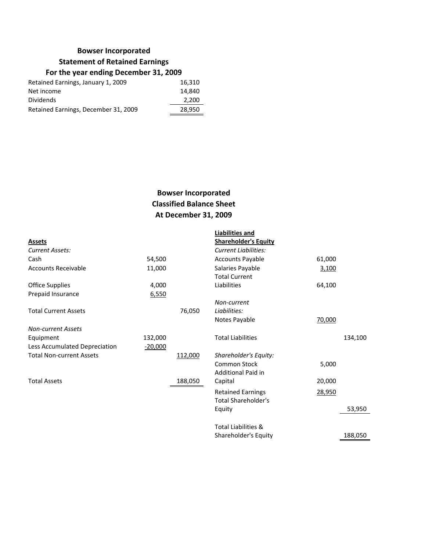## **Bowser Incorporated**

### **Statement of Retained Earnings**

## **For the year ending December 31, 2009**

| Retained Earnings, January 1, 2009   | 16,310 |
|--------------------------------------|--------|
| Net income                           | 14.840 |
| <b>Dividends</b>                     | 2,200  |
| Retained Earnings, December 31, 2009 | 28,950 |
|                                      |        |

## **Bowser Incorporated Classified Balance Sheet At December 31, 2009**

|           | <b>Liabilities and</b>         |        |         |
|-----------|--------------------------------|--------|---------|
|           | <b>Shareholder's Equity</b>    |        |         |
|           | <b>Current Liabilities:</b>    |        |         |
| 54,500    | <b>Accounts Payable</b>        | 61,000 |         |
| 11,000    | Salaries Payable               | 3,100  |         |
|           | <b>Total Current</b>           |        |         |
| 4,000     | Liabilities                    | 64,100 |         |
| 6,550     |                                |        |         |
|           | Non-current                    |        |         |
| 76,050    | Liabilities:                   |        |         |
|           | Notes Payable                  | 70,000 |         |
|           |                                |        |         |
| 132,000   | <b>Total Liabilities</b>       |        | 134,100 |
| $-20,000$ |                                |        |         |
| 112,000   | Shareholder's Equity:          |        |         |
|           | <b>Common Stock</b>            | 5,000  |         |
|           | Additional Paid in             |        |         |
| 188,050   | Capital                        | 20,000 |         |
|           | <b>Retained Earnings</b>       |        |         |
|           | Total Shareholder's            |        |         |
|           | Equity                         |        | 53,950  |
|           | <b>Total Liabilities &amp;</b> |        |         |
|           | Shareholder's Equity           |        | 188,050 |
|           |                                |        | 28,950  |